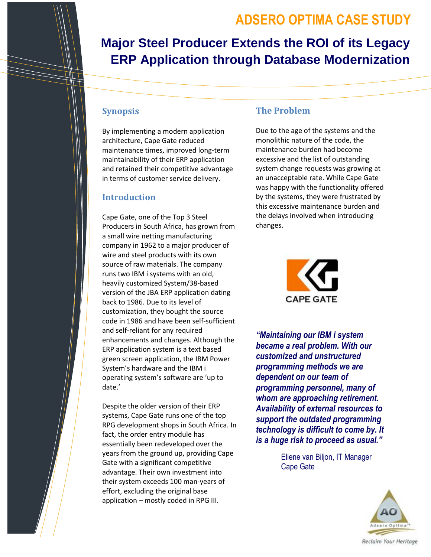# **ADSERO OPTIMA CASE STUDY**

# **Major Steel Producer Extends the ROI of its Legacy ERP Application through Database Modernization**

### **Synopsis**

By implementing a modern application architecture, Cape Gate reduced maintenance times, improved long-term maintainability of their ERP application and retained their competitive advantage in terms of customer service delivery.

#### **Introduction**

Cape Gate, one of the Top 3 Steel Producers in South Africa, has grown from a small wire netting manufacturing company in 1962 to a major producer of wire and steel products with its own source of raw materials. The company runs two IBM i systems with an old, heavily customized System/38-based version of the JBA ERP application dating back to 1986. Due to its level of customization, they bought the source code in 1986 and have been self-sufficient and self-reliant for any required enhancements and changes. Although the ERP application system is a text based green screen application, the IBM Power System's hardware and the IBM i operating system's software are 'up to date.'

Despite the older version of their ERP systems, Cape Gate runs one of the top RPG development shops in South Africa. In fact, the order entry module has essentially been redeveloped over the years from the ground up, providing Cape Gate with a significant competitive advantage. Their own investment into their system exceeds 100 man-years of effort, excluding the original base application – mostly coded in RPG III.

#### **The Problem**

Due to the age of the systems and the monolithic nature of the code, the maintenance burden had become excessive and the list of outstanding system change requests was growing at an unacceptable rate. While Cape Gate was happy with the functionality offered by the systems, they were frustrated by this excessive maintenance burden and the delays involved when introducing changes.



*"Maintaining our IBM i system became a real problem. With our customized and unstructured programming methods we are dependent on our team of programming personnel, many of whom are approaching retirement. Availability of external resources to support the outdated programming technology is difficult to come by. It is a huge risk to proceed as usual."* 

> Eliene van Biljon, IT Manager Cape Gate

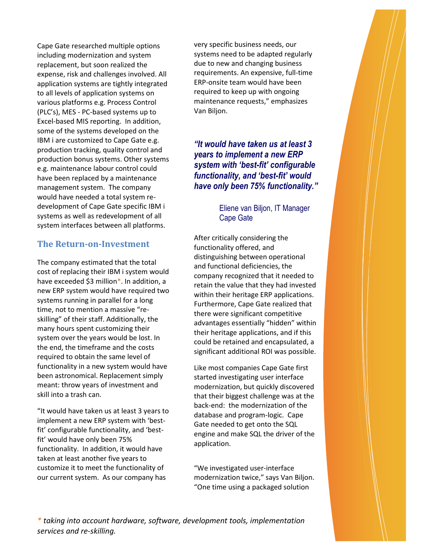Cape Gate researched multiple options including modernization and system replacement, but soon realized the expense, risk and challenges involved. All application systems are tightly integrated to all levels of application systems on various platforms e.g. Process Control (PLC's), MES - PC-based systems up to Excel-based MIS reporting. In addition, some of the systems developed on the IBM i are customized to Cape Gate e.g. production tracking, quality control and production bonus systems. Other systems e.g. maintenance labour control could have been replaced by a maintenance management system. The company would have needed a total system redevelopment of Cape Gate specific IBM i systems as well as redevelopment of all system interfaces between all platforms.

### **The Return-on-Investment**

The company estimated that the total cost of replacing their IBM i system would have exceeded \$3 million\*. In addition, a new ERP system would have required two systems running in parallel for a long time, not to mention a massive "reskilling" of their staff. Additionally, the many hours spent customizing their system over the years would be lost. In the end, the timeframe and the costs required to obtain the same level of functionality in a new system would have been astronomical. Replacement simply meant: throw years of investment and skill into a trash can.

"It would have taken us at least 3 years to implement a new ERP system with 'bestfit' configurable functionality, and 'bestfit' would have only been 75% functionality. In addition, it would have taken at least another five years to customize it to meet the functionality of our current system. As our company has

very specific business needs, our systems need to be adapted regularly due to new and changing business requirements. An expensive, full-time ERP-onsite team would have been required to keep up with ongoing maintenance requests," emphasizes Van Biljon.

# *"It would have taken us at least 3 years to implement a new ERP system with 'best-fit' configurable functionality, and 'best-fit' would have only been 75% functionality."*

#### Eliene van Biljon, IT Manager Cape Gate

After critically considering the functionality offered, and distinguishing between operational and functional deficiencies, the company recognized that it needed to retain the value that they had invested within their heritage ERP applications. Furthermore, Cape Gate realized that there were significant competitive advantages essentially "hidden" within their heritage applications, and if this could be retained and encapsulated, a significant additional ROI was possible.

Like most companies Cape Gate first started investigating user interface modernization, but quickly discovered that their biggest challenge was at the back-end: the modernization of the database and program-logic. Cape Gate needed to get onto the SQL engine and make SQL the driver of the application.

"We investigated user-interface modernization twice," says Van Biljon. "One time using a packaged solution

*\* taking into account hardware, software, development tools, implementation services and re-skilling.*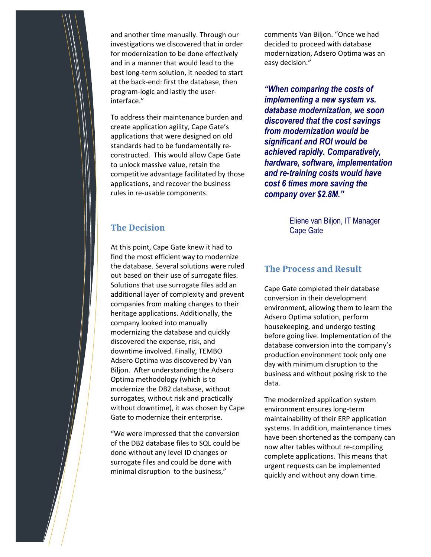

and another time manually. Through our investigations we discovered that in order for modernization to be done effectively and in a manner that would lead to the best long-term solution, it needed to start at the back-end: first the database, then program-logic and lastly the userinterface."

To address their maintenance burden and create application agility, Cape Gate's applications that were designed on old standards had to be fundamentally reconstructed. This would allow Cape Gate to unlock massive value, retain the competitive advantage facilitated by those applications, and recover the business rules in re-usable components.

comments Van Biljon. "Once we had decided to proceed with database modernization, Adsero Optima was an easy decision."

*"When comparing the costs of implementing a new system vs. database modernization, we soon discovered that the cost savings from modernization would be significant and ROI would be achieved rapidly. Comparatively, hardware, software, implementation and re-training costs would have cost 6 times more saving the company over \$2.8M."*

# **The Decision**

At this point, Cape Gate knew it had to find the most efficient way to modernize the database. Several solutions were ruled out based on their use of surrogate files. Solutions that use surrogate files add an additional layer of complexity and prevent companies from making changes to their heritage applications. Additionally, the company looked into manually modernizing the database and quickly discovered the expense, risk, and downtime involved. Finally, TEMBO Adsero Optima was discovered by Van Biljon. After understanding the Adsero Optima methodology (which is to modernize the DB2 database, without surrogates, without risk and practically without downtime), it was chosen by Cape Gate to modernize their enterprise.

"We were impressed that the conversion of the DB2 database files to SQL could be done without any level ID changes or surrogate files and could be done with minimal disruption to the business,"

Eliene van Biljon, IT Manager Cape Gate

#### **The Process and Result**

Cape Gate completed their database conversion in their development environment, allowing them to learn the Adsero Optima solution, perform housekeeping, and undergo testing before going live. Implementation of the database conversion into the company's production environment took only one day with minimum disruption to the business and without posing risk to the data.

The modernized application system environment ensures long-term maintainability of their ERP application systems. In addition, maintenance times have been shortened as the company can now alter tables without re-compiling complete applications. This means that urgent requests can be implemented quickly and without any down time.